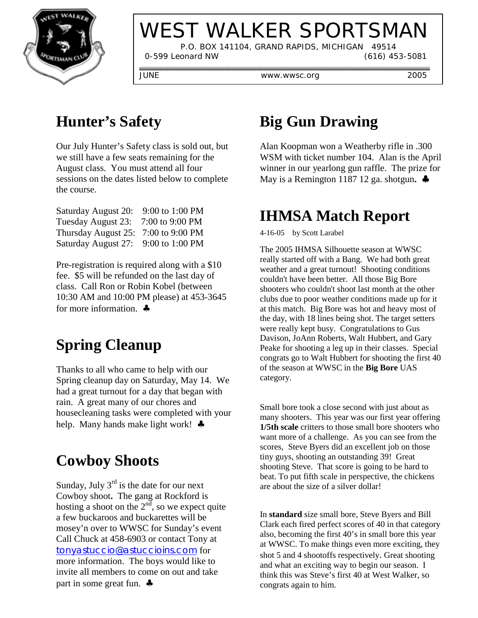

# WEST WALKER SPORTSMAN

 P.O. BOX 141104, GRAND RAPIDS, MICHIGAN 49514 0-599 Leonard NW (616) 453-5081

JUNE www.wwsc.org 2005

#### **Hunter's Safety**

Our July Hunter's Safety class is sold out, but we still have a few seats remaining for the August class. You must attend all four sessions on the dates listed below to complete the course.

| Saturday August 20: | 9:00 to 1:00 PM |
|---------------------|-----------------|
| Tuesday August 23:  | 7:00 to 9:00 PM |
| Thursday August 25: | 7:00 to 9:00 PM |
| Saturday August 27: | 9:00 to 1:00 PM |

Pre-registration is required along with a \$10 fee. \$5 will be refunded on the last day of class. Call Ron or Robin Kobel (between 10:30 AM and 10:00 PM please) at 453-3645 for more information. ♣

## **Spring Cleanup**

Thanks to all who came to help with our Spring cleanup day on Saturday, May 14. We had a great turnout for a day that began with rain. A great many of our chores and housecleaning tasks were completed with your help. Many hands make light work! ♣

#### **Cowboy Shoots**

Sunday, July  $3^{rd}$  is the date for our next Cowboy shoot**.** The gang at Rockford is hosting a shoot on the  $2<sup>nd</sup>$ , so we expect quite a few buckaroos and buckarettes will be mosey'n over to WWSC for Sunday's event Call Chuck at 458-6903 or contact Tony at tonyastuccio@astuccioins.com for more information. The boys would like to invite all members to come on out and take part in some great fun. ♣

#### **Big Gun Drawing**

Alan Koopman won a Weatherby rifle in .300 WSM with ticket number 104. Alan is the April winner in our yearlong gun raffle. The prize for May is a Remington 1187 12 ga. shotgun**.** ♣

#### **IHMSA Match Report**

4-16-05 by Scott Larabel

The 2005 IHMSA Silhouette season at WWSC really started off with a Bang. We had both great weather and a great turnout! Shooting conditions couldn't have been better. All those Big Bore shooters who couldn't shoot last month at the other clubs due to poor weather conditions made up for it at this match. Big Bore was hot and heavy most of the day, with 18 lines being shot. The target setters were really kept busy. Congratulations to Gus Davison, JoAnn Roberts, Walt Hubbert, and Gary Peake for shooting a leg up in their classes. Special congrats go to Walt Hubbert for shooting the first 40 of the season at WWSC in the **Big Bore** UAS category.

Small bore took a close second with just about as many shooters. This year was our first year offering **1/5th scale** critters to those small bore shooters who want more of a challenge. As you can see from the scores, Steve Byers did an excellent job on those tiny guys, shooting an outstanding 39! Great shooting Steve. That score is going to be hard to beat. To put fifth scale in perspective, the chickens are about the size of a silver dollar!

In **standard** size small bore, Steve Byers and Bill Clark each fired perfect scores of 40 in that category also, becoming the first 40's in small bore this year at WWSC. To make things even more exciting, they shot 5 and 4 shootoffs respectively. Great shooting and what an exciting way to begin our season. I think this was Steve's first 40 at West Walker, so congrats again to him.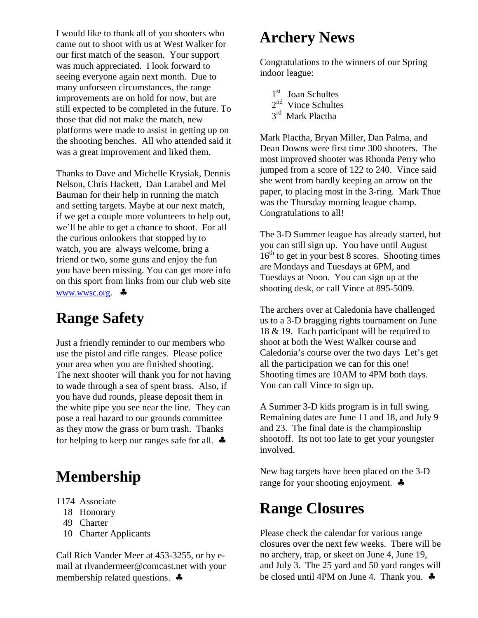I would like to thank all of you shooters who came out to shoot with us at West Walker for our first match of the season. Your support was much appreciated. I look forward to seeing everyone again next month. Due to many unforseen circumstances, the range improvements are on hold for now, but are still expected to be completed in the future. To those that did not make the match, new platforms were made to assist in getting up on the shooting benches. All who attended said it was a great improvement and liked them.

Thanks to Dave and Michelle Krysiak, Dennis Nelson, Chris Hackett, Dan Larabel and Mel Bauman for their help in running the match and setting targets. Maybe at our next match, if we get a couple more volunteers to help out, we'll be able to get a chance to shoot. For all the curious onlookers that stopped by to watch, you are always welcome, bring a friend or two, some guns and enjoy the fun you have been missing. You can get more info on this sport from links from our club web site www.wwsc.org. ♣

#### **Range Safety**

Just a friendly reminder to our members who use the pistol and rifle ranges. Please police your area when you are finished shooting. The next shooter will thank you for not having to wade through a sea of spent brass. Also, if you have dud rounds, please deposit them in the white pipe you see near the line. They can pose a real hazard to our grounds committee as they mow the grass or burn trash. Thanks for helping to keep our ranges safe for all.  $\clubsuit$ 

### **Membership**

- 1174 Associate
	- 18 Honorary
	- 49 Charter
	- 10 Charter Applicants

Call Rich Vander Meer at 453-3255, or by email at rlvandermeer@comcast.net with your membership related questions. ♣

#### **Archery News**

Congratulations to the winners of our Spring indoor league:

- 1<sup>st</sup> Joan Schultes
- 2<sup>nd</sup> Vince Schultes
- 3<sup>rd</sup> Mark Plactha

Mark Plactha, Bryan Miller, Dan Palma, and Dean Downs were first time 300 shooters. The most improved shooter was Rhonda Perry who jumped from a score of 122 to 240. Vince said she went from hardly keeping an arrow on the paper, to placing most in the 3-ring. Mark Thue was the Thursday morning league champ. Congratulations to all!

The 3-D Summer league has already started, but you can still sign up. You have until August  $16<sup>th</sup>$  to get in your best 8 scores. Shooting times are Mondays and Tuesdays at 6PM, and Tuesdays at Noon. You can sign up at the shooting desk, or call Vince at 895-5009.

The archers over at Caledonia have challenged us to a 3-D bragging rights tournament on June 18 & 19. Each participant will be required to shoot at both the West Walker course and Caledonia's course over the two days Let's get all the participation we can for this one! Shooting times are 10AM to 4PM both days. You can call Vince to sign up.

A Summer 3-D kids program is in full swing. Remaining dates are June 11 and 18, and July 9 and 23. The final date is the championship shootoff. Its not too late to get your youngster involved.

New bag targets have been placed on the 3-D range for your shooting enjoyment. ♣

#### **Range Closures**

Please check the calendar for various range closures over the next few weeks. There will be no archery, trap, or skeet on June 4, June 19, and July 3. The 25 yard and 50 yard ranges will be closed until 4PM on June 4. Thank you. ♣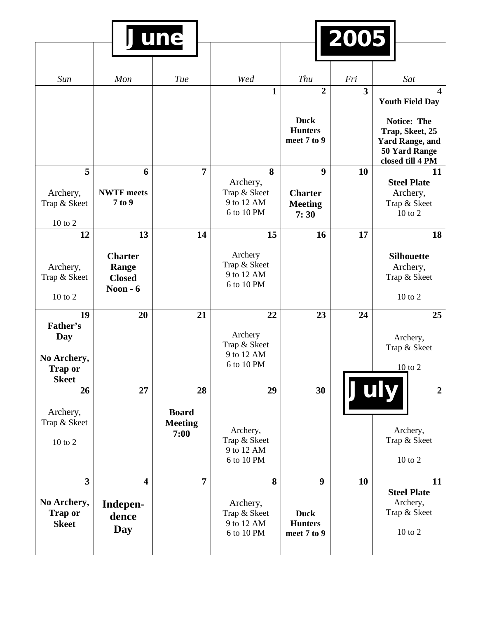|                                                               | June                                                  |                                              |                                                            | 2005                                          |                         |                                                                                                      |
|---------------------------------------------------------------|-------------------------------------------------------|----------------------------------------------|------------------------------------------------------------|-----------------------------------------------|-------------------------|------------------------------------------------------------------------------------------------------|
| Sun                                                           | Mon                                                   | Tue                                          | Wed                                                        | Thu                                           | Fri                     | Sat                                                                                                  |
|                                                               |                                                       |                                              | $\mathbf{1}$                                               | $\overline{2}$                                | $\overline{\mathbf{3}}$ | $\overline{4}$<br><b>Youth Field Day</b>                                                             |
|                                                               |                                                       |                                              |                                                            | <b>Duck</b><br><b>Hunters</b><br>meet 7 to 9  |                         | <b>Notice: The</b><br>Trap, Skeet, 25<br><b>Yard Range, and</b><br>50 Yard Range<br>closed till 4 PM |
| 5<br>Archery,<br>Trap & Skeet<br>10 to 2                      | 6<br><b>NWTF</b> meets<br>7 to 9                      | $\overline{7}$                               | 8<br>Archery,<br>Trap & Skeet<br>9 to 12 AM<br>6 to 10 PM  | 9<br><b>Charter</b><br><b>Meeting</b><br>7:30 | 10                      | 11<br><b>Steel Plate</b><br>Archery,<br>Trap & Skeet<br>10 to 2                                      |
| 12                                                            | 13                                                    | 14                                           | 15                                                         | 16                                            | 17                      | 18                                                                                                   |
| Archery,<br>Trap & Skeet<br>10 to 2                           | <b>Charter</b><br>Range<br><b>Closed</b><br>Noon $-6$ |                                              | Archery<br>Trap & Skeet<br>9 to 12 AM<br>6 to 10 PM        |                                               |                         | <b>Silhouette</b><br>Archery,<br>Trap & Skeet<br>10 to 2                                             |
| 19<br>Father's<br>Day<br>No Archery,<br><b>Trap or</b>        | 20                                                    | 21                                           | 22<br>Archery<br>Trap & Skeet<br>9 to 12 AM<br>6 to 10 PM  | 23                                            | 24                      | 25<br>Archery,<br>Trap & Skeet<br>10 to 2                                                            |
| <b>Skeet</b><br>26<br>Archery,<br>Trap & Skeet<br>$10$ to $2$ | 27                                                    | 28<br><b>Board</b><br><b>Meeting</b><br>7:00 | 29<br>Archery,<br>Trap & Skeet<br>9 to 12 AM<br>6 to 10 PM | 30                                            |                         | July<br>$\overline{2}$<br>Archery,<br>Trap & Skeet<br>$10$ to $2$                                    |
| $\overline{\mathbf{3}}$                                       | 4                                                     | $\overline{7}$                               | 8                                                          | $\boldsymbol{9}$                              | <b>10</b>               | 11                                                                                                   |
| No Archery,<br><b>Trap or</b><br><b>Skeet</b>                 | Indepen-<br>dence<br><b>Day</b>                       |                                              | Archery,<br>Trap & Skeet<br>9 to 12 AM<br>6 to 10 PM       | <b>Duck</b><br><b>Hunters</b><br>meet 7 to 9  |                         | <b>Steel Plate</b><br>Archery,<br>Trap & Skeet<br>$10$ to $2$                                        |